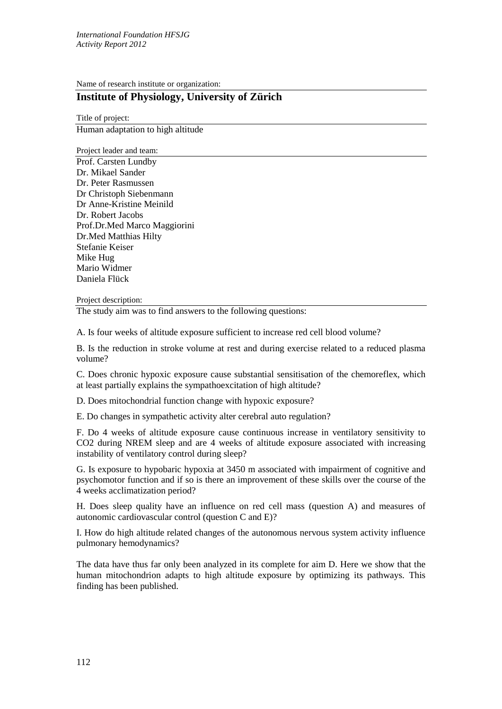Name of research institute or organization:

## **Institute of Physiology, University of Zürich**

Title of project: Human adaptation to high altitude

Project leader and team:

Prof. Carsten Lundby Dr. Mikael Sander Dr. Peter Rasmussen Dr Christoph Siebenmann Dr Anne-Kristine Meinild Dr. Robert Jacobs Prof.Dr.Med Marco Maggiorini Dr.Med Matthias Hilty Stefanie Keiser Mike Hug Mario Widmer Daniela Flück

## Project description:

The study aim was to find answers to the following questions:

A. Is four weeks of altitude exposure sufficient to increase red cell blood volume?

B. Is the reduction in stroke volume at rest and during exercise related to a reduced plasma volume?

C. Does chronic hypoxic exposure cause substantial sensitisation of the chemoreflex, which at least partially explains the sympathoexcitation of high altitude?

D. Does mitochondrial function change with hypoxic exposure?

E. Do changes in sympathetic activity alter cerebral auto regulation?

F. Do 4 weeks of altitude exposure cause continuous increase in ventilatory sensitivity to CO2 during NREM sleep and are 4 weeks of altitude exposure associated with increasing instability of ventilatory control during sleep?

G. Is exposure to hypobaric hypoxia at 3450 m associated with impairment of cognitive and psychomotor function and if so is there an improvement of these skills over the course of the 4 weeks acclimatization period?

H. Does sleep quality have an influence on red cell mass (question A) and measures of autonomic cardiovascular control (question C and E)?

I. How do high altitude related changes of the autonomous nervous system activity influence pulmonary hemodynamics?

The data have thus far only been analyzed in its complete for aim D. Here we show that the human mitochondrion adapts to high altitude exposure by optimizing its pathways. This finding has been published.